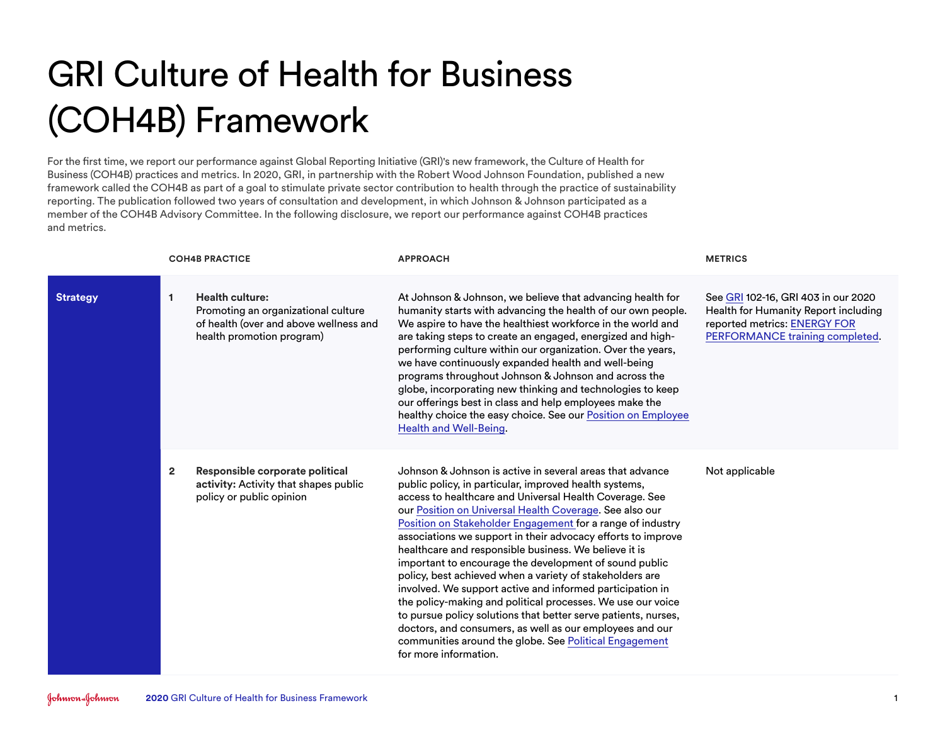## GRI Culture of Health for Business (COH4B) Framework

For the first time, we report our performance against Global Reporting Initiative (GRI)'s new framework, the Culture of Health for Business (COH4B) practices and metrics. In 2020, GRI, in partnership with the Robert Wood Johnson Foundation, published a new framework called the COH4B as part of a goal to stimulate private sector contribution to health through the practice of sustainability reporting. The publication followed two years of consultation and development, in which Johnson & Johnson participated as a member of the COH4B Advisory Committee. In the following disclosure, we report our performance against COH4B practices and metrics.

|                 |                | <b>COH4B PRACTICE</b>                                                                                                                | <b>APPROACH</b>                                                                                                                                                                                                                                                                                                                                                                                                                                                                                                                                                                                                                                                                                                                                                                                                                                                                                     | <b>METRICS</b>                                                                                                                                 |
|-----------------|----------------|--------------------------------------------------------------------------------------------------------------------------------------|-----------------------------------------------------------------------------------------------------------------------------------------------------------------------------------------------------------------------------------------------------------------------------------------------------------------------------------------------------------------------------------------------------------------------------------------------------------------------------------------------------------------------------------------------------------------------------------------------------------------------------------------------------------------------------------------------------------------------------------------------------------------------------------------------------------------------------------------------------------------------------------------------------|------------------------------------------------------------------------------------------------------------------------------------------------|
| <b>Strategy</b> | $\mathbf{1}$   | <b>Health culture:</b><br>Promoting an organizational culture<br>of health (over and above wellness and<br>health promotion program) | At Johnson & Johnson, we believe that advancing health for<br>humanity starts with advancing the health of our own people.<br>We aspire to have the healthiest workforce in the world and<br>are taking steps to create an engaged, energized and high-<br>performing culture within our organization. Over the years,<br>we have continuously expanded health and well-being<br>programs throughout Johnson & Johnson and across the<br>globe, incorporating new thinking and technologies to keep<br>our offerings best in class and help employees make the<br>healthy choice the easy choice. See our Position on Employee<br>Health and Well-Being.                                                                                                                                                                                                                                            | See GRI 102-16, GRI 403 in our 2020<br>Health for Humanity Report including<br>reported metrics: ENERGY FOR<br>PERFORMANCE training completed. |
|                 | $\overline{2}$ | Responsible corporate political<br>activity: Activity that shapes public<br>policy or public opinion                                 | Johnson & Johnson is active in several areas that advance<br>public policy, in particular, improved health systems,<br>access to healthcare and Universal Health Coverage. See<br>our Position on Universal Health Coverage. See also our<br>Position on Stakeholder Engagement for a range of industry<br>associations we support in their advocacy efforts to improve<br>healthcare and responsible business. We believe it is<br>important to encourage the development of sound public<br>policy, best achieved when a variety of stakeholders are<br>involved. We support active and informed participation in<br>the policy-making and political processes. We use our voice<br>to pursue policy solutions that better serve patients, nurses,<br>doctors, and consumers, as well as our employees and our<br>communities around the globe. See Political Engagement<br>for more information. | Not applicable                                                                                                                                 |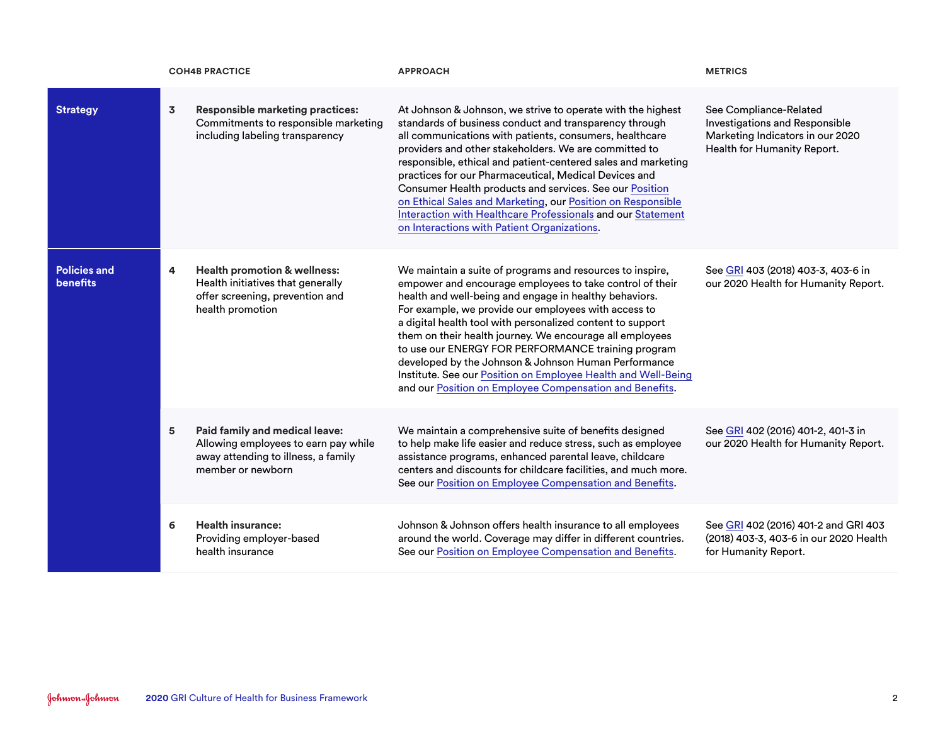|                                        |                         | <b>COH4B PRACTICE</b>                                                                                                               | <b>APPROACH</b>                                                                                                                                                                                                                                                                                                                                                                                                                                                                                                                                                                                             | <b>METRICS</b>                                                                                                              |
|----------------------------------------|-------------------------|-------------------------------------------------------------------------------------------------------------------------------------|-------------------------------------------------------------------------------------------------------------------------------------------------------------------------------------------------------------------------------------------------------------------------------------------------------------------------------------------------------------------------------------------------------------------------------------------------------------------------------------------------------------------------------------------------------------------------------------------------------------|-----------------------------------------------------------------------------------------------------------------------------|
| <b>Strategy</b>                        | $\overline{\mathbf{3}}$ | <b>Responsible marketing practices:</b><br>Commitments to responsible marketing<br>including labeling transparency                  | At Johnson & Johnson, we strive to operate with the highest<br>standards of business conduct and transparency through<br>all communications with patients, consumers, healthcare<br>providers and other stakeholders. We are committed to<br>responsible, ethical and patient-centered sales and marketing<br>practices for our Pharmaceutical, Medical Devices and<br>Consumer Health products and services. See our Position<br>on Ethical Sales and Marketing, our Position on Responsible<br>Interaction with Healthcare Professionals and our Statement<br>on Interactions with Patient Organizations. | See Compliance-Related<br>Investigations and Responsible<br>Marketing Indicators in our 2020<br>Health for Humanity Report. |
| <b>Policies and</b><br><b>benefits</b> | $\overline{4}$          | <b>Health promotion &amp; wellness:</b><br>Health initiatives that generally<br>offer screening, prevention and<br>health promotion | We maintain a suite of programs and resources to inspire,<br>empower and encourage employees to take control of their<br>health and well-being and engage in healthy behaviors.<br>For example, we provide our employees with access to<br>a digital health tool with personalized content to support<br>them on their health journey. We encourage all employees<br>to use our ENERGY FOR PERFORMANCE training program<br>developed by the Johnson & Johnson Human Performance<br>Institute. See our Position on Employee Health and Well-Being<br>and our Position on Employee Compensation and Benefits. | See GRI 403 (2018) 403-3, 403-6 in<br>our 2020 Health for Humanity Report.                                                  |
|                                        | 5                       | Paid family and medical leave:<br>Allowing employees to earn pay while<br>away attending to illness, a family<br>member or newborn  | We maintain a comprehensive suite of benefits designed<br>to help make life easier and reduce stress, such as employee<br>assistance programs, enhanced parental leave, childcare<br>centers and discounts for childcare facilities, and much more.<br>See our Position on Employee Compensation and Benefits.                                                                                                                                                                                                                                                                                              | See GRI 402 (2016) 401-2, 401-3 in<br>our 2020 Health for Humanity Report.                                                  |
|                                        | 6                       | <b>Health insurance:</b><br>Providing employer-based<br>health insurance                                                            | Johnson & Johnson offers health insurance to all employees<br>around the world. Coverage may differ in different countries.<br>See our Position on Employee Compensation and Benefits.                                                                                                                                                                                                                                                                                                                                                                                                                      | See GRI 402 (2016) 401-2 and GRI 403<br>(2018) 403-3, 403-6 in our 2020 Health<br>for Humanity Report.                      |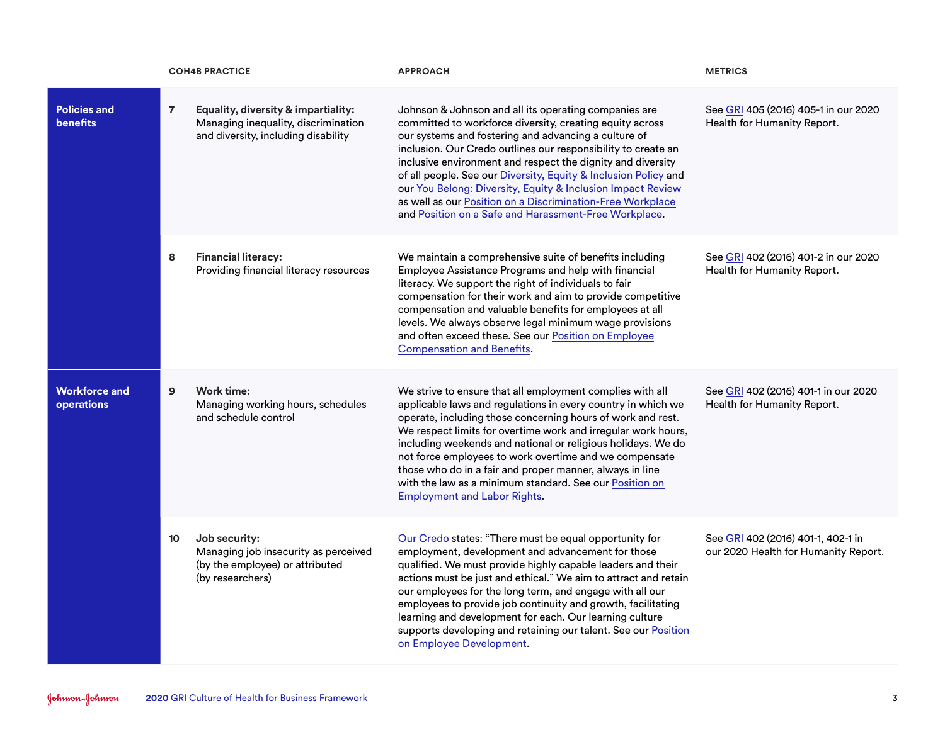|                                           |                | <b>COH4B PRACTICE</b>                                                                                             | <b>APPROACH</b>                                                                                                                                                                                                                                                                                                                                                                                                                                                                                                                                                    | <b>METRICS</b>                                                             |
|-------------------------------------------|----------------|-------------------------------------------------------------------------------------------------------------------|--------------------------------------------------------------------------------------------------------------------------------------------------------------------------------------------------------------------------------------------------------------------------------------------------------------------------------------------------------------------------------------------------------------------------------------------------------------------------------------------------------------------------------------------------------------------|----------------------------------------------------------------------------|
| <b>Policies and</b><br><b>benefits</b>    | $\overline{7}$ | Equality, diversity & impartiality:<br>Managing inequality, discrimination<br>and diversity, including disability | Johnson & Johnson and all its operating companies are<br>committed to workforce diversity, creating equity across<br>our systems and fostering and advancing a culture of<br>inclusion. Our Credo outlines our responsibility to create an<br>inclusive environment and respect the dignity and diversity<br>of all people. See our Diversity, Equity & Inclusion Policy and<br>our You Belong: Diversity, Equity & Inclusion Impact Review<br>as well as our Position on a Discrimination-Free Workplace<br>and Position on a Safe and Harassment-Free Workplace. | See GRI 405 (2016) 405-1 in our 2020<br>Health for Humanity Report.        |
|                                           | 8              | <b>Financial literacy:</b><br>Providing financial literacy resources                                              | We maintain a comprehensive suite of benefits including<br>Employee Assistance Programs and help with financial<br>literacy. We support the right of individuals to fair<br>compensation for their work and aim to provide competitive<br>compensation and valuable benefits for employees at all<br>levels. We always observe legal minimum wage provisions<br>and often exceed these. See our Position on Employee<br><b>Compensation and Benefits.</b>                                                                                                          | See GRI 402 (2016) 401-2 in our 2020<br>Health for Humanity Report.        |
| <b>Workforce and</b><br><b>operations</b> | $\overline{9}$ | Work time:<br>Managing working hours, schedules<br>and schedule control                                           | We strive to ensure that all employment complies with all<br>applicable laws and regulations in every country in which we<br>operate, including those concerning hours of work and rest.<br>We respect limits for overtime work and irregular work hours,<br>including weekends and national or religious holidays. We do<br>not force employees to work overtime and we compensate<br>those who do in a fair and proper manner, always in line<br>with the law as a minimum standard. See our Position on<br><b>Employment and Labor Rights.</b>                  | See GRI 402 (2016) 401-1 in our 2020<br>Health for Humanity Report.        |
|                                           | 10             | Job security:<br>Managing job insecurity as perceived<br>(by the employee) or attributed<br>(by researchers)      | Our Credo states: "There must be equal opportunity for<br>employment, development and advancement for those<br>qualified. We must provide highly capable leaders and their<br>actions must be just and ethical." We aim to attract and retain<br>our employees for the long term, and engage with all our<br>employees to provide job continuity and growth, facilitating<br>learning and development for each. Our learning culture<br>supports developing and retaining our talent. See our Position<br>on Employee Development.                                 | See GRI 402 (2016) 401-1, 402-1 in<br>our 2020 Health for Humanity Report. |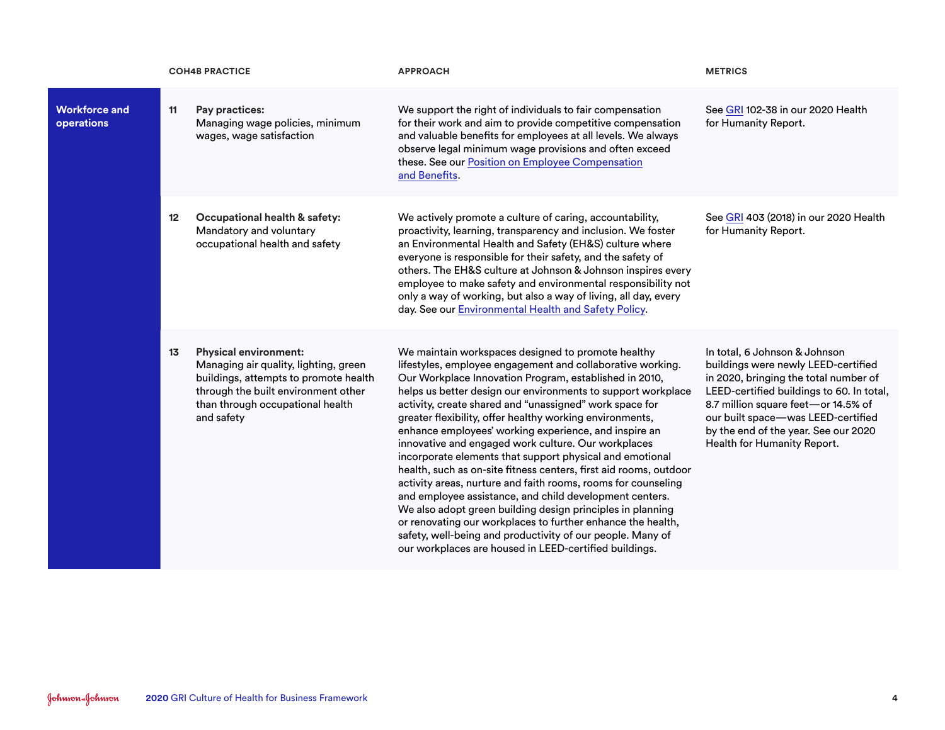|                                    |    | <b>COH4B PRACTICE</b>                                                                                                                                                                                   | <b>APPROACH</b>                                                                                                                                                                                                                                                                                                                                                                                                                                                                                                                                                                                                                                                                                                                                                                                                                                                                                                                                                                                     | <b>METRICS</b>                                                                                                                                                                                                                                                                                                 |
|------------------------------------|----|---------------------------------------------------------------------------------------------------------------------------------------------------------------------------------------------------------|-----------------------------------------------------------------------------------------------------------------------------------------------------------------------------------------------------------------------------------------------------------------------------------------------------------------------------------------------------------------------------------------------------------------------------------------------------------------------------------------------------------------------------------------------------------------------------------------------------------------------------------------------------------------------------------------------------------------------------------------------------------------------------------------------------------------------------------------------------------------------------------------------------------------------------------------------------------------------------------------------------|----------------------------------------------------------------------------------------------------------------------------------------------------------------------------------------------------------------------------------------------------------------------------------------------------------------|
| <b>Workforce and</b><br>operations | 11 | Pay practices:<br>Managing wage policies, minimum<br>wages, wage satisfaction                                                                                                                           | We support the right of individuals to fair compensation<br>for their work and aim to provide competitive compensation<br>and valuable benefits for employees at all levels. We always<br>observe legal minimum wage provisions and often exceed<br>these. See our Position on Employee Compensation<br>and Benefits.                                                                                                                                                                                                                                                                                                                                                                                                                                                                                                                                                                                                                                                                               | See GRI 102-38 in our 2020 Health<br>for Humanity Report.                                                                                                                                                                                                                                                      |
|                                    | 12 | Occupational health & safety:<br>Mandatory and voluntary<br>occupational health and safety                                                                                                              | We actively promote a culture of caring, accountability,<br>proactivity, learning, transparency and inclusion. We foster<br>an Environmental Health and Safety (EH&S) culture where<br>everyone is responsible for their safety, and the safety of<br>others. The EH&S culture at Johnson & Johnson inspires every<br>employee to make safety and environmental responsibility not<br>only a way of working, but also a way of living, all day, every<br>day. See our Environmental Health and Safety Policy.                                                                                                                                                                                                                                                                                                                                                                                                                                                                                       | See GRI 403 (2018) in our 2020 Health<br>for Humanity Report.                                                                                                                                                                                                                                                  |
|                                    | 13 | <b>Physical environment:</b><br>Managing air quality, lighting, green<br>buildings, attempts to promote health<br>through the built environment other<br>than through occupational health<br>and safety | We maintain workspaces designed to promote healthy<br>lifestyles, employee engagement and collaborative working.<br>Our Workplace Innovation Program, established in 2010,<br>helps us better design our environments to support workplace<br>activity, create shared and "unassigned" work space for<br>greater flexibility, offer healthy working environments,<br>enhance employees' working experience, and inspire an<br>innovative and engaged work culture. Our workplaces<br>incorporate elements that support physical and emotional<br>health, such as on-site fitness centers, first aid rooms, outdoor<br>activity areas, nurture and faith rooms, rooms for counseling<br>and employee assistance, and child development centers.<br>We also adopt green building design principles in planning<br>or renovating our workplaces to further enhance the health,<br>safety, well-being and productivity of our people. Many of<br>our workplaces are housed in LEED-certified buildings. | In total, 6 Johnson & Johnson<br>buildings were newly LEED-certified<br>in 2020, bringing the total number of<br>LEED-certified buildings to 60. In total,<br>8.7 million square feet-or 14.5% of<br>our built space-was LEED-certified<br>by the end of the year. See our 2020<br>Health for Humanity Report. |